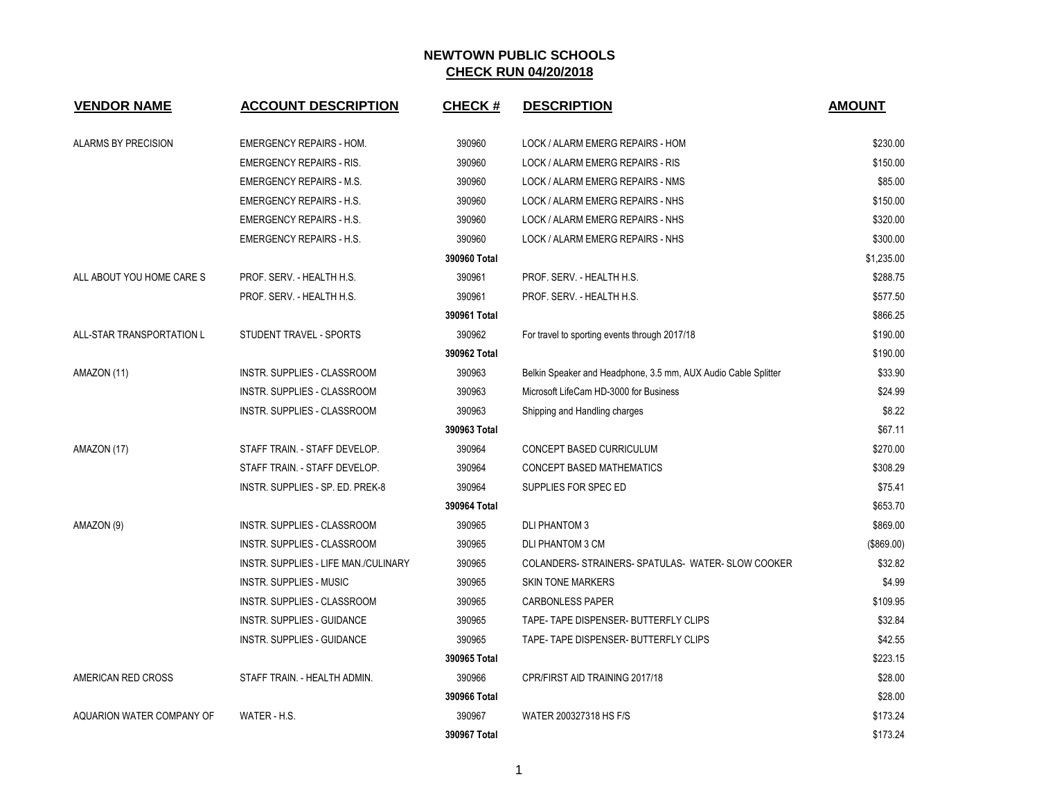| <b>VENDOR NAME</b>        | <b>ACCOUNT DESCRIPTION</b>           | <b>CHECK#</b> | <b>DESCRIPTION</b>                                             | <b>AMOUNT</b> |
|---------------------------|--------------------------------------|---------------|----------------------------------------------------------------|---------------|
|                           |                                      |               |                                                                |               |
| ALARMS BY PRECISION       | <b>EMERGENCY REPAIRS - HOM.</b>      | 390960        | LOCK / ALARM EMERG REPAIRS - HOM                               | \$230.00      |
|                           | <b>EMERGENCY REPAIRS - RIS.</b>      | 390960        | LOCK / ALARM EMERG REPAIRS - RIS                               | \$150.00      |
|                           | <b>EMERGENCY REPAIRS - M.S.</b>      | 390960        | LOCK / ALARM EMERG REPAIRS - NMS                               | \$85.00       |
|                           | <b>EMERGENCY REPAIRS - H.S.</b>      | 390960        | LOCK / ALARM EMERG REPAIRS - NHS                               | \$150.00      |
|                           | <b>EMERGENCY REPAIRS - H.S.</b>      | 390960        | LOCK / ALARM EMERG REPAIRS - NHS                               | \$320.00      |
|                           | <b>EMERGENCY REPAIRS - H.S.</b>      | 390960        | LOCK / ALARM EMERG REPAIRS - NHS                               | \$300.00      |
|                           |                                      | 390960 Total  |                                                                | \$1,235.00    |
| ALL ABOUT YOU HOME CARE S | PROF. SERV. - HEALTH H.S.            | 390961        | PROF. SERV. - HEALTH H.S.                                      | \$288.75      |
|                           | PROF. SERV. - HEALTH H.S.            | 390961        | PROF. SERV. - HEALTH H.S.                                      | \$577.50      |
|                           |                                      | 390961 Total  |                                                                | \$866.25      |
| ALL-STAR TRANSPORTATION L | STUDENT TRAVEL - SPORTS              | 390962        | For travel to sporting events through 2017/18                  | \$190.00      |
|                           |                                      | 390962 Total  |                                                                | \$190.00      |
| AMAZON (11)               | INSTR. SUPPLIES - CLASSROOM          | 390963        | Belkin Speaker and Headphone, 3.5 mm, AUX Audio Cable Splitter | \$33.90       |
|                           | INSTR. SUPPLIES - CLASSROOM          | 390963        | Microsoft LifeCam HD-3000 for Business                         | \$24.99       |
|                           | <b>INSTR. SUPPLIES - CLASSROOM</b>   | 390963        | Shipping and Handling charges                                  | \$8.22        |
|                           |                                      | 390963 Total  |                                                                | \$67.11       |
| AMAZON (17)               | STAFF TRAIN. - STAFF DEVELOP.        | 390964        | CONCEPT BASED CURRICULUM                                       | \$270.00      |
|                           | STAFF TRAIN. - STAFF DEVELOP.        | 390964        | CONCEPT BASED MATHEMATICS                                      | \$308.29      |
|                           | INSTR. SUPPLIES - SP. ED. PREK-8     | 390964        | SUPPLIES FOR SPEC ED                                           | \$75.41       |
|                           |                                      | 390964 Total  |                                                                | \$653.70      |
| AMAZON (9)                | INSTR. SUPPLIES - CLASSROOM          | 390965        | <b>DLI PHANTOM 3</b>                                           | \$869.00      |
|                           | INSTR. SUPPLIES - CLASSROOM          | 390965        | <b>DLI PHANTOM 3 CM</b>                                        | (\$869.00)    |
|                           | INSTR. SUPPLIES - LIFE MAN./CULINARY | 390965        | COLANDERS-STRAINERS-SPATULAS- WATER-SLOW COOKER                | \$32.82       |
|                           | <b>INSTR. SUPPLIES - MUSIC</b>       | 390965        | <b>SKIN TONE MARKERS</b>                                       | \$4.99        |
|                           | INSTR. SUPPLIES - CLASSROOM          | 390965        | <b>CARBONLESS PAPER</b>                                        | \$109.95      |
|                           | <b>INSTR. SUPPLIES - GUIDANCE</b>    | 390965        | TAPE- TAPE DISPENSER- BUTTERFLY CLIPS                          | \$32.84       |
|                           | INSTR. SUPPLIES - GUIDANCE           | 390965        | TAPE- TAPE DISPENSER- BUTTERFLY CLIPS                          | \$42.55       |
|                           |                                      | 390965 Total  |                                                                | \$223.15      |
| AMERICAN RED CROSS        | STAFF TRAIN. - HEALTH ADMIN.         | 390966        | CPR/FIRST AID TRAINING 2017/18                                 | \$28.00       |
|                           |                                      | 390966 Total  |                                                                | \$28.00       |
| AQUARION WATER COMPANY OF | WATER - H.S.                         | 390967        | WATER 200327318 HS F/S                                         | \$173.24      |
|                           |                                      | 390967 Total  |                                                                | \$173.24      |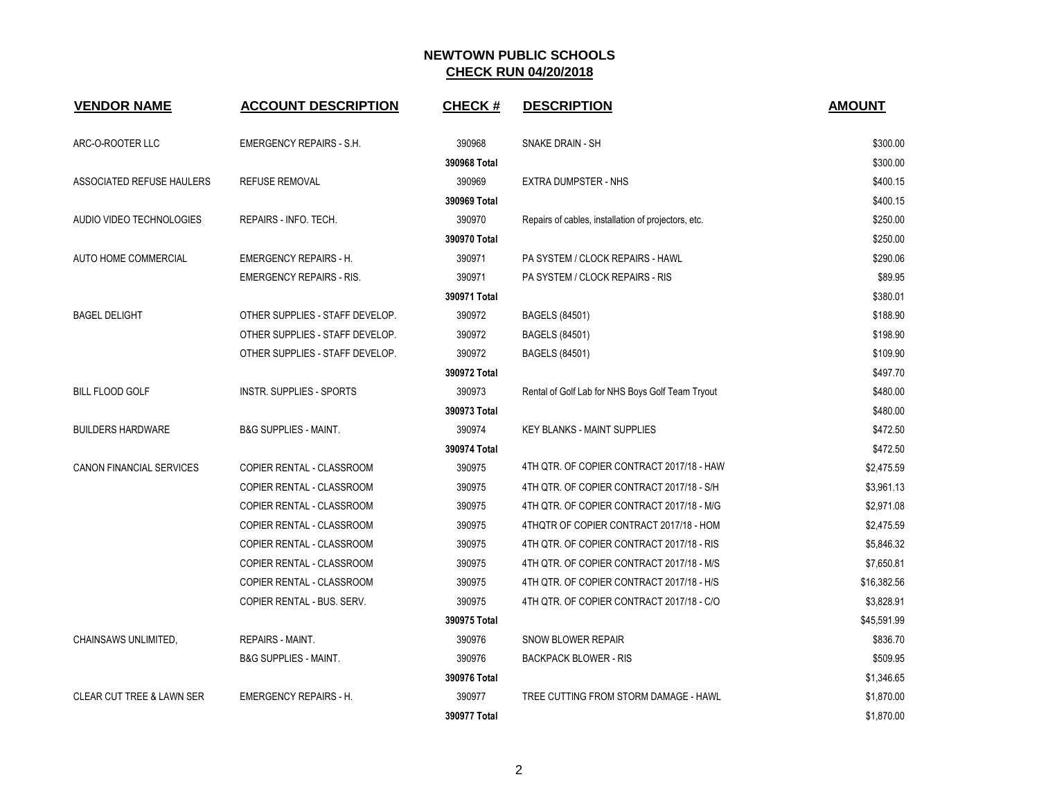| <b>VENDOR NAME</b>                   | <b>ACCOUNT DESCRIPTION</b>       | <b>CHECK#</b> | <b>DESCRIPTION</b>                                  | <b>AMOUNT</b> |
|--------------------------------------|----------------------------------|---------------|-----------------------------------------------------|---------------|
| ARC-O-ROOTER LLC                     | <b>EMERGENCY REPAIRS - S.H.</b>  | 390968        | SNAKE DRAIN - SH                                    | \$300.00      |
|                                      |                                  | 390968 Total  |                                                     | \$300.00      |
| ASSOCIATED REFUSE HAULERS            | <b>REFUSE REMOVAL</b>            | 390969        | EXTRA DUMPSTER - NHS                                | \$400.15      |
|                                      |                                  | 390969 Total  |                                                     | \$400.15      |
| AUDIO VIDEO TECHNOLOGIES             | REPAIRS - INFO. TECH.            | 390970        | Repairs of cables, installation of projectors, etc. | \$250.00      |
|                                      |                                  | 390970 Total  |                                                     | \$250.00      |
| AUTO HOME COMMERCIAL                 | <b>EMERGENCY REPAIRS - H.</b>    | 390971        | PA SYSTEM / CLOCK REPAIRS - HAWL                    | \$290.06      |
|                                      | <b>EMERGENCY REPAIRS - RIS.</b>  | 390971        | PA SYSTEM / CLOCK REPAIRS - RIS                     | \$89.95       |
|                                      |                                  | 390971 Total  |                                                     | \$380.01      |
| <b>BAGEL DELIGHT</b>                 | OTHER SUPPLIES - STAFF DEVELOP.  | 390972        | BAGELS (84501)                                      | \$188.90      |
|                                      | OTHER SUPPLIES - STAFF DEVELOP.  | 390972        | BAGELS (84501)                                      | \$198.90      |
|                                      | OTHER SUPPLIES - STAFF DEVELOP.  | 390972        | BAGELS (84501)                                      | \$109.90      |
|                                      |                                  | 390972 Total  |                                                     | \$497.70      |
| <b>BILL FLOOD GOLF</b>               | <b>INSTR. SUPPLIES - SPORTS</b>  | 390973        | Rental of Golf Lab for NHS Boys Golf Team Tryout    | \$480.00      |
|                                      |                                  | 390973 Total  |                                                     | \$480.00      |
| <b>BUILDERS HARDWARE</b>             | <b>B&amp;G SUPPLIES - MAINT.</b> | 390974        | <b>KEY BLANKS - MAINT SUPPLIES</b>                  | \$472.50      |
|                                      |                                  | 390974 Total  |                                                     | \$472.50      |
| CANON FINANCIAL SERVICES             | COPIER RENTAL - CLASSROOM        | 390975        | 4TH QTR. OF COPIER CONTRACT 2017/18 - HAW           | \$2,475.59    |
|                                      | COPIER RENTAL - CLASSROOM        | 390975        | 4TH QTR. OF COPIER CONTRACT 2017/18 - S/H           | \$3,961.13    |
|                                      | COPIER RENTAL - CLASSROOM        | 390975        | 4TH QTR. OF COPIER CONTRACT 2017/18 - M/G           | \$2,971.08    |
|                                      | <b>COPIER RENTAL - CLASSROOM</b> | 390975        | 4THQTR OF COPIER CONTRACT 2017/18 - HOM             | \$2,475.59    |
|                                      | COPIER RENTAL - CLASSROOM        | 390975        | 4TH QTR. OF COPIER CONTRACT 2017/18 - RIS           | \$5,846.32    |
|                                      | COPIER RENTAL - CLASSROOM        | 390975        | 4TH QTR. OF COPIER CONTRACT 2017/18 - M/S           | \$7,650.81    |
|                                      | COPIER RENTAL - CLASSROOM        | 390975        | 4TH QTR. OF COPIER CONTRACT 2017/18 - H/S           | \$16,382.56   |
|                                      | COPIER RENTAL - BUS. SERV.       | 390975        | 4TH QTR. OF COPIER CONTRACT 2017/18 - C/O           | \$3,828.91    |
|                                      |                                  | 390975 Total  |                                                     | \$45,591.99   |
| CHAINSAWS UNLIMITED,                 | <b>REPAIRS - MAINT.</b>          | 390976        | <b>SNOW BLOWER REPAIR</b>                           | \$836.70      |
|                                      | <b>B&amp;G SUPPLIES - MAINT.</b> | 390976        | <b>BACKPACK BLOWER - RIS</b>                        | \$509.95      |
|                                      |                                  | 390976 Total  |                                                     | \$1,346.65    |
| <b>CLEAR CUT TREE &amp; LAWN SER</b> | <b>EMERGENCY REPAIRS - H.</b>    | 390977        | TREE CUTTING FROM STORM DAMAGE - HAWL               | \$1,870.00    |
|                                      |                                  | 390977 Total  |                                                     | \$1,870.00    |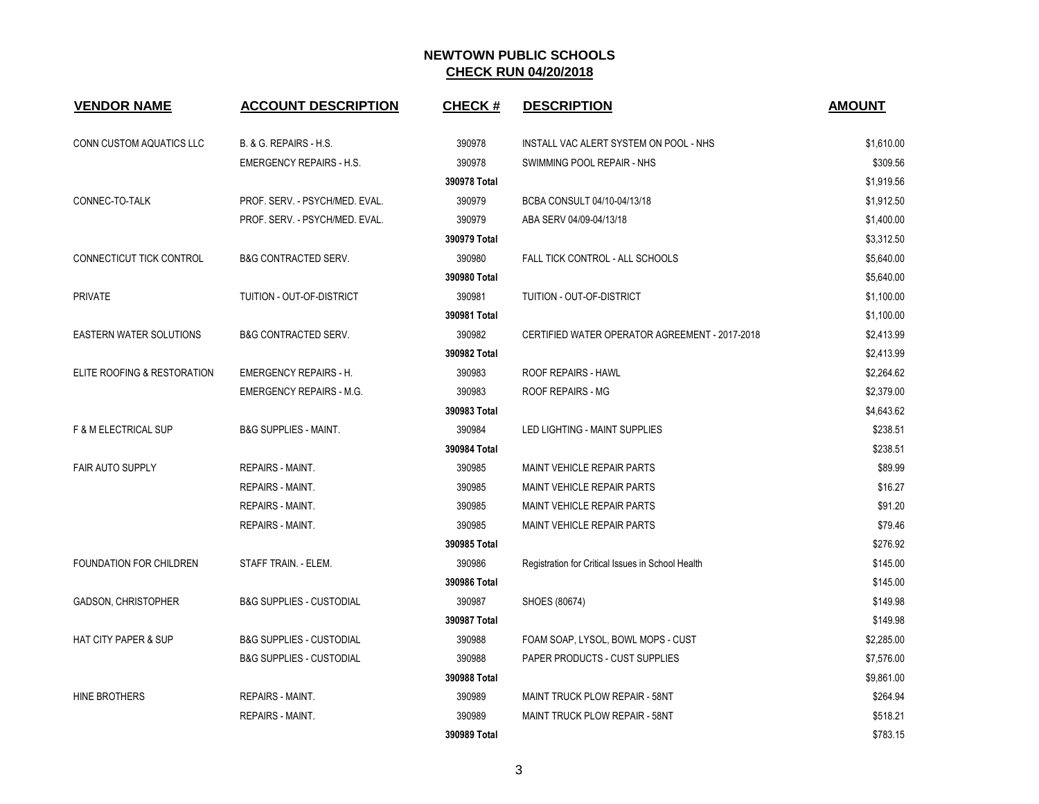| <b>VENDOR NAME</b>              | <b>ACCOUNT DESCRIPTION</b>          | <b>CHECK#</b> | <b>DESCRIPTION</b>                                | <b>AMOUNT</b> |
|---------------------------------|-------------------------------------|---------------|---------------------------------------------------|---------------|
| CONN CUSTOM AQUATICS LLC        | B. & G. REPAIRS - H.S.              | 390978        | INSTALL VAC ALERT SYSTEM ON POOL - NHS            | \$1,610.00    |
|                                 | <b>EMERGENCY REPAIRS - H.S.</b>     | 390978        | SWIMMING POOL REPAIR - NHS                        | \$309.56      |
|                                 |                                     | 390978 Total  |                                                   | \$1,919.56    |
| CONNEC-TO-TALK                  | PROF. SERV. - PSYCH/MED. EVAL.      | 390979        | BCBA CONSULT 04/10-04/13/18                       | \$1,912.50    |
|                                 | PROF. SERV. - PSYCH/MED. EVAL.      | 390979        | ABA SERV 04/09-04/13/18                           | \$1,400.00    |
|                                 |                                     | 390979 Total  |                                                   | \$3,312.50    |
| CONNECTICUT TICK CONTROL        | <b>B&amp;G CONTRACTED SERV.</b>     | 390980        | FALL TICK CONTROL - ALL SCHOOLS                   | \$5,640.00    |
|                                 |                                     | 390980 Total  |                                                   | \$5,640.00    |
| <b>PRIVATE</b>                  | TUITION - OUT-OF-DISTRICT           | 390981        | TUITION - OUT-OF-DISTRICT                         | \$1,100.00    |
|                                 |                                     | 390981 Total  |                                                   | \$1,100.00    |
| <b>EASTERN WATER SOLUTIONS</b>  | <b>B&amp;G CONTRACTED SERV.</b>     | 390982        | CERTIFIED WATER OPERATOR AGREEMENT - 2017-2018    | \$2,413.99    |
|                                 |                                     | 390982 Total  |                                                   | \$2,413.99    |
| ELITE ROOFING & RESTORATION     | <b>EMERGENCY REPAIRS - H.</b>       | 390983        | <b>ROOF REPAIRS - HAWL</b>                        | \$2,264.62    |
|                                 | <b>EMERGENCY REPAIRS - M.G.</b>     | 390983        | ROOF REPAIRS - MG                                 | \$2,379.00    |
|                                 |                                     | 390983 Total  |                                                   | \$4,643.62    |
| <b>F &amp; M ELECTRICAL SUP</b> | <b>B&amp;G SUPPLIES - MAINT.</b>    | 390984        | LED LIGHTING - MAINT SUPPLIES                     | \$238.51      |
|                                 |                                     | 390984 Total  |                                                   | \$238.51      |
| <b>FAIR AUTO SUPPLY</b>         | <b>REPAIRS - MAINT.</b>             | 390985        | <b>MAINT VEHICLE REPAIR PARTS</b>                 | \$89.99       |
|                                 | REPAIRS - MAINT.                    | 390985        | <b>MAINT VEHICLE REPAIR PARTS</b>                 | \$16.27       |
|                                 | REPAIRS - MAINT.                    | 390985        | <b>MAINT VEHICLE REPAIR PARTS</b>                 | \$91.20       |
|                                 | <b>REPAIRS - MAINT.</b>             | 390985        | <b>MAINT VEHICLE REPAIR PARTS</b>                 | \$79.46       |
|                                 |                                     | 390985 Total  |                                                   | \$276.92      |
| FOUNDATION FOR CHILDREN         | STAFF TRAIN. - ELEM.                | 390986        | Registration for Critical Issues in School Health | \$145.00      |
|                                 |                                     | 390986 Total  |                                                   | \$145.00      |
| <b>GADSON, CHRISTOPHER</b>      | <b>B&amp;G SUPPLIES - CUSTODIAL</b> | 390987        | SHOES (80674)                                     | \$149.98      |
|                                 |                                     | 390987 Total  |                                                   | \$149.98      |
| HAT CITY PAPER & SUP            | <b>B&amp;G SUPPLIES - CUSTODIAL</b> | 390988        | FOAM SOAP, LYSOL, BOWL MOPS - CUST                | \$2,285.00    |
|                                 | <b>B&amp;G SUPPLIES - CUSTODIAL</b> | 390988        | PAPER PRODUCTS - CUST SUPPLIES                    | \$7,576.00    |
|                                 |                                     | 390988 Total  |                                                   | \$9,861.00    |
| HINE BROTHERS                   | REPAIRS - MAINT.                    | 390989        | MAINT TRUCK PLOW REPAIR - 58NT                    | \$264.94      |
|                                 | REPAIRS - MAINT.                    | 390989        | MAINT TRUCK PLOW REPAIR - 58NT                    | \$518.21      |
|                                 |                                     | 390989 Total  |                                                   | \$783.15      |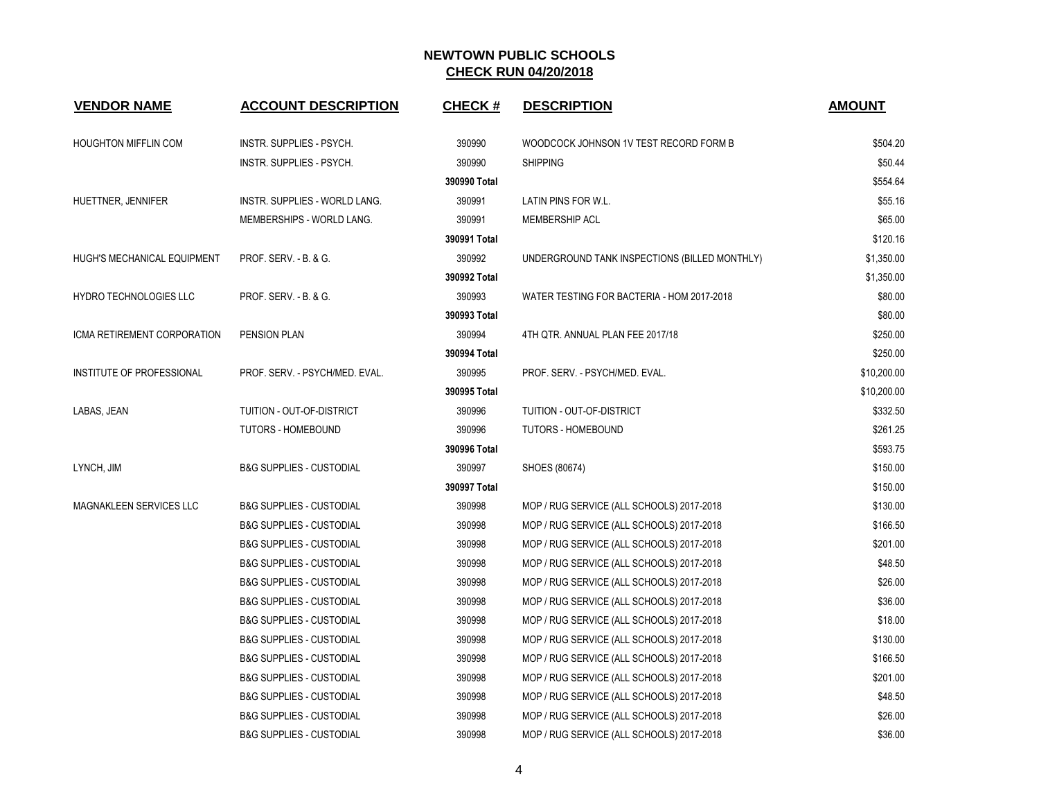| <b>VENDOR NAME</b>            | <b>ACCOUNT DESCRIPTION</b>          | <b>CHECK#</b> | <b>DESCRIPTION</b>                            | <b>AMOUNT</b> |
|-------------------------------|-------------------------------------|---------------|-----------------------------------------------|---------------|
| <b>HOUGHTON MIFFLIN COM</b>   | INSTR. SUPPLIES - PSYCH.            | 390990        | WOODCOCK JOHNSON 1V TEST RECORD FORM B        | \$504.20      |
|                               | INSTR. SUPPLIES - PSYCH.            | 390990        | <b>SHIPPING</b>                               | \$50.44       |
|                               |                                     | 390990 Total  |                                               | \$554.64      |
| HUETTNER, JENNIFER            | INSTR. SUPPLIES - WORLD LANG.       | 390991        | LATIN PINS FOR W.L.                           | \$55.16       |
|                               | MEMBERSHIPS - WORLD LANG.           | 390991        | <b>MEMBERSHIP ACL</b>                         | \$65.00       |
|                               |                                     | 390991 Total  |                                               | \$120.16      |
| HUGH'S MECHANICAL EQUIPMENT   | PROF. SERV. - B. & G.               | 390992        | UNDERGROUND TANK INSPECTIONS (BILLED MONTHLY) | \$1,350.00    |
|                               |                                     | 390992 Total  |                                               | \$1,350.00    |
| <b>HYDRO TECHNOLOGIES LLC</b> | PROF. SERV. - B. & G.               | 390993        | WATER TESTING FOR BACTERIA - HOM 2017-2018    | \$80.00       |
|                               |                                     | 390993 Total  |                                               | \$80.00       |
| ICMA RETIREMENT CORPORATION   | PENSION PLAN                        | 390994        | 4TH QTR. ANNUAL PLAN FEE 2017/18              | \$250.00      |
|                               |                                     | 390994 Total  |                                               | \$250.00      |
| INSTITUTE OF PROFESSIONAL     | PROF. SERV. - PSYCH/MED. EVAL.      | 390995        | PROF. SERV. - PSYCH/MED. EVAL.                | \$10,200.00   |
|                               |                                     | 390995 Total  |                                               | \$10,200.00   |
| LABAS, JEAN                   | TUITION - OUT-OF-DISTRICT           | 390996        | TUITION - OUT-OF-DISTRICT                     | \$332.50      |
|                               | <b>TUTORS - HOMEBOUND</b>           | 390996        | TUTORS - HOMEBOUND                            | \$261.25      |
|                               |                                     | 390996 Total  |                                               | \$593.75      |
| LYNCH, JIM                    | <b>B&amp;G SUPPLIES - CUSTODIAL</b> | 390997        | SHOES (80674)                                 | \$150.00      |
|                               |                                     | 390997 Total  |                                               | \$150.00      |
| MAGNAKLEEN SERVICES LLC       | <b>B&amp;G SUPPLIES - CUSTODIAL</b> | 390998        | MOP / RUG SERVICE (ALL SCHOOLS) 2017-2018     | \$130.00      |
|                               | <b>B&amp;G SUPPLIES - CUSTODIAL</b> | 390998        | MOP / RUG SERVICE (ALL SCHOOLS) 2017-2018     | \$166.50      |
|                               | <b>B&amp;G SUPPLIES - CUSTODIAL</b> | 390998        | MOP / RUG SERVICE (ALL SCHOOLS) 2017-2018     | \$201.00      |
|                               | <b>B&amp;G SUPPLIES - CUSTODIAL</b> | 390998        | MOP / RUG SERVICE (ALL SCHOOLS) 2017-2018     | \$48.50       |
|                               | <b>B&amp;G SUPPLIES - CUSTODIAL</b> | 390998        | MOP / RUG SERVICE (ALL SCHOOLS) 2017-2018     | \$26.00       |
|                               | <b>B&amp;G SUPPLIES - CUSTODIAL</b> | 390998        | MOP / RUG SERVICE (ALL SCHOOLS) 2017-2018     | \$36.00       |
|                               | <b>B&amp;G SUPPLIES - CUSTODIAL</b> | 390998        | MOP / RUG SERVICE (ALL SCHOOLS) 2017-2018     | \$18.00       |
|                               | <b>B&amp;G SUPPLIES - CUSTODIAL</b> | 390998        | MOP / RUG SERVICE (ALL SCHOOLS) 2017-2018     | \$130.00      |
|                               | <b>B&amp;G SUPPLIES - CUSTODIAL</b> | 390998        | MOP / RUG SERVICE (ALL SCHOOLS) 2017-2018     | \$166.50      |
|                               | <b>B&amp;G SUPPLIES - CUSTODIAL</b> | 390998        | MOP / RUG SERVICE (ALL SCHOOLS) 2017-2018     | \$201.00      |
|                               | <b>B&amp;G SUPPLIES - CUSTODIAL</b> | 390998        | MOP / RUG SERVICE (ALL SCHOOLS) 2017-2018     | \$48.50       |
|                               | <b>B&amp;G SUPPLIES - CUSTODIAL</b> | 390998        | MOP / RUG SERVICE (ALL SCHOOLS) 2017-2018     | \$26.00       |
|                               | <b>B&amp;G SUPPLIES - CUSTODIAL</b> | 390998        | MOP / RUG SERVICE (ALL SCHOOLS) 2017-2018     | \$36.00       |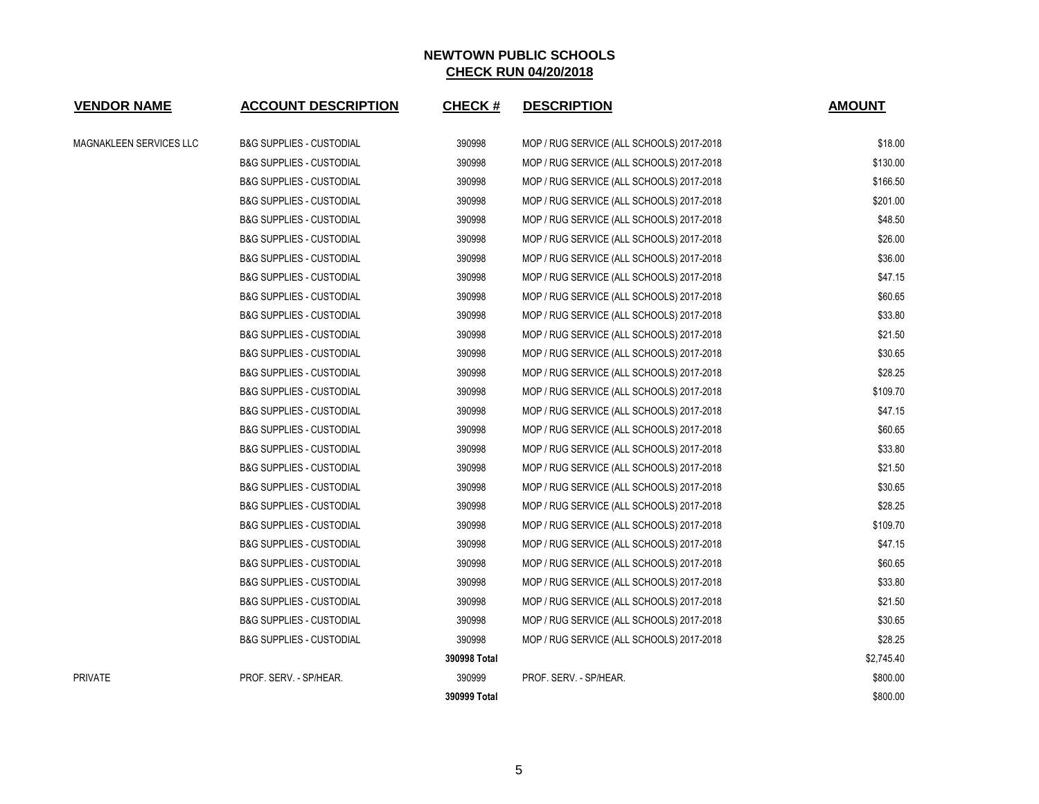| <b>VENDOR NAME</b>      | <b>ACCOUNT DESCRIPTION</b>          | <b>CHECK#</b> | <b>DESCRIPTION</b>                        | <b>AMOUNT</b> |
|-------------------------|-------------------------------------|---------------|-------------------------------------------|---------------|
| MAGNAKLEEN SERVICES LLC | <b>B&amp;G SUPPLIES - CUSTODIAL</b> | 390998        | MOP / RUG SERVICE (ALL SCHOOLS) 2017-2018 | \$18.00       |
|                         | <b>B&amp;G SUPPLIES - CUSTODIAL</b> | 390998        | MOP / RUG SERVICE (ALL SCHOOLS) 2017-2018 | \$130.00      |
|                         | <b>B&amp;G SUPPLIES - CUSTODIAL</b> | 390998        | MOP / RUG SERVICE (ALL SCHOOLS) 2017-2018 | \$166.50      |
|                         | <b>B&amp;G SUPPLIES - CUSTODIAL</b> | 390998        | MOP / RUG SERVICE (ALL SCHOOLS) 2017-2018 | \$201.00      |
|                         | <b>B&amp;G SUPPLIES - CUSTODIAL</b> | 390998        | MOP / RUG SERVICE (ALL SCHOOLS) 2017-2018 | \$48.50       |
|                         | <b>B&amp;G SUPPLIES - CUSTODIAL</b> | 390998        | MOP / RUG SERVICE (ALL SCHOOLS) 2017-2018 | \$26.00       |
|                         | <b>B&amp;G SUPPLIES - CUSTODIAL</b> | 390998        | MOP / RUG SERVICE (ALL SCHOOLS) 2017-2018 | \$36.00       |
|                         | <b>B&amp;G SUPPLIES - CUSTODIAL</b> | 390998        | MOP / RUG SERVICE (ALL SCHOOLS) 2017-2018 | \$47.15       |
|                         | <b>B&amp;G SUPPLIES - CUSTODIAL</b> | 390998        | MOP / RUG SERVICE (ALL SCHOOLS) 2017-2018 | \$60.65       |
|                         | <b>B&amp;G SUPPLIES - CUSTODIAL</b> | 390998        | MOP / RUG SERVICE (ALL SCHOOLS) 2017-2018 | \$33.80       |
|                         | <b>B&amp;G SUPPLIES - CUSTODIAL</b> | 390998        | MOP / RUG SERVICE (ALL SCHOOLS) 2017-2018 | \$21.50       |
|                         | <b>B&amp;G SUPPLIES - CUSTODIAL</b> | 390998        | MOP / RUG SERVICE (ALL SCHOOLS) 2017-2018 | \$30.65       |
|                         | <b>B&amp;G SUPPLIES - CUSTODIAL</b> | 390998        | MOP / RUG SERVICE (ALL SCHOOLS) 2017-2018 | \$28.25       |
|                         | <b>B&amp;G SUPPLIES - CUSTODIAL</b> | 390998        | MOP / RUG SERVICE (ALL SCHOOLS) 2017-2018 | \$109.70      |
|                         | <b>B&amp;G SUPPLIES - CUSTODIAL</b> | 390998        | MOP / RUG SERVICE (ALL SCHOOLS) 2017-2018 | \$47.15       |
|                         | <b>B&amp;G SUPPLIES - CUSTODIAL</b> | 390998        | MOP / RUG SERVICE (ALL SCHOOLS) 2017-2018 | \$60.65       |
|                         | <b>B&amp;G SUPPLIES - CUSTODIAL</b> | 390998        | MOP / RUG SERVICE (ALL SCHOOLS) 2017-2018 | \$33.80       |
|                         | <b>B&amp;G SUPPLIES - CUSTODIAL</b> | 390998        | MOP / RUG SERVICE (ALL SCHOOLS) 2017-2018 | \$21.50       |
|                         | <b>B&amp;G SUPPLIES - CUSTODIAL</b> | 390998        | MOP / RUG SERVICE (ALL SCHOOLS) 2017-2018 | \$30.65       |
|                         | <b>B&amp;G SUPPLIES - CUSTODIAL</b> | 390998        | MOP / RUG SERVICE (ALL SCHOOLS) 2017-2018 | \$28.25       |
|                         | <b>B&amp;G SUPPLIES - CUSTODIAL</b> | 390998        | MOP / RUG SERVICE (ALL SCHOOLS) 2017-2018 | \$109.70      |
|                         | <b>B&amp;G SUPPLIES - CUSTODIAL</b> | 390998        | MOP / RUG SERVICE (ALL SCHOOLS) 2017-2018 | \$47.15       |
|                         | <b>B&amp;G SUPPLIES - CUSTODIAL</b> | 390998        | MOP / RUG SERVICE (ALL SCHOOLS) 2017-2018 | \$60.65       |
|                         | <b>B&amp;G SUPPLIES - CUSTODIAL</b> | 390998        | MOP / RUG SERVICE (ALL SCHOOLS) 2017-2018 | \$33.80       |
|                         | <b>B&amp;G SUPPLIES - CUSTODIAL</b> | 390998        | MOP / RUG SERVICE (ALL SCHOOLS) 2017-2018 | \$21.50       |
|                         | <b>B&amp;G SUPPLIES - CUSTODIAL</b> | 390998        | MOP / RUG SERVICE (ALL SCHOOLS) 2017-2018 | \$30.65       |
|                         | <b>B&amp;G SUPPLIES - CUSTODIAL</b> | 390998        | MOP / RUG SERVICE (ALL SCHOOLS) 2017-2018 | \$28.25       |
|                         |                                     | 390998 Total  |                                           | \$2,745.40    |
| PRIVATE                 | PROF. SERV. - SP/HEAR.              | 390999        | PROF. SERV. - SP/HEAR.                    | \$800.00      |
|                         |                                     | 390999 Total  |                                           | \$800.00      |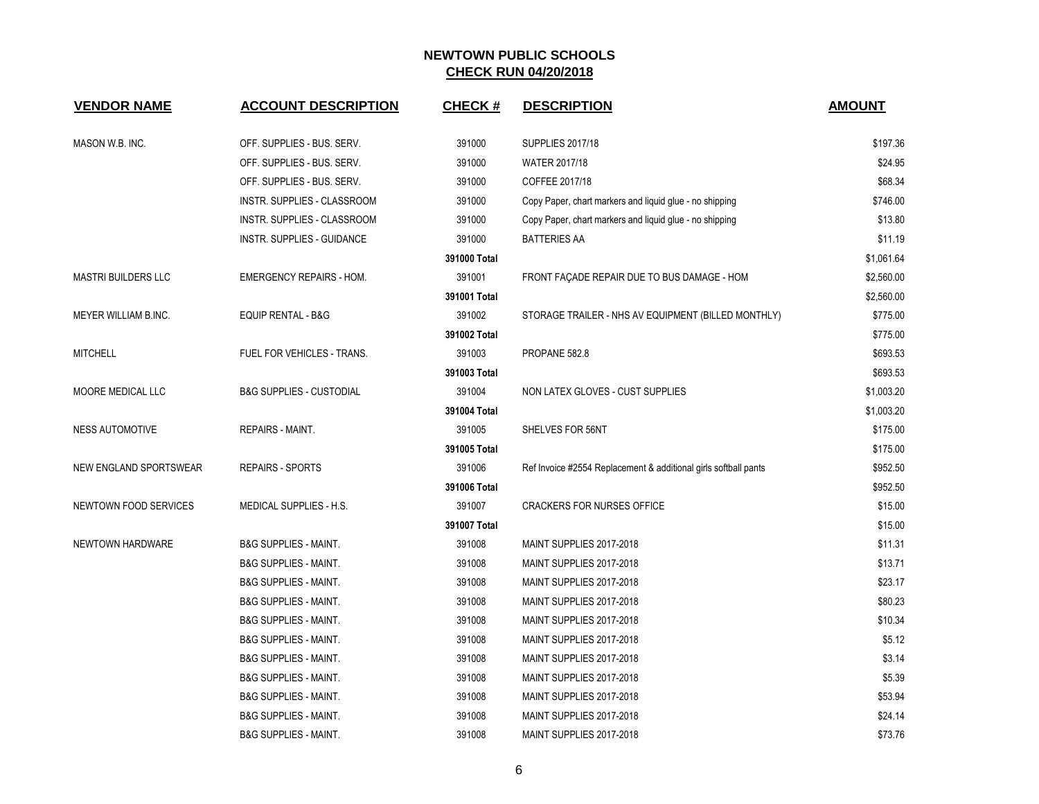| <b>VENDOR NAME</b>         | <b>ACCOUNT DESCRIPTION</b>          | <b>CHECK#</b> | <b>DESCRIPTION</b>                                              | <b>AMOUNT</b> |
|----------------------------|-------------------------------------|---------------|-----------------------------------------------------------------|---------------|
| MASON W.B. INC.            | OFF. SUPPLIES - BUS. SERV.          | 391000        | <b>SUPPLIES 2017/18</b>                                         | \$197.36      |
|                            | OFF. SUPPLIES - BUS. SERV.          | 391000        | <b>WATER 2017/18</b>                                            | \$24.95       |
|                            | OFF. SUPPLIES - BUS. SERV.          | 391000        | COFFEE 2017/18                                                  | \$68.34       |
|                            | INSTR. SUPPLIES - CLASSROOM         | 391000        | Copy Paper, chart markers and liquid glue - no shipping         | \$746.00      |
|                            | INSTR. SUPPLIES - CLASSROOM         | 391000        | Copy Paper, chart markers and liquid glue - no shipping         | \$13.80       |
|                            | INSTR. SUPPLIES - GUIDANCE          | 391000        | BATTERIES AA                                                    | \$11.19       |
|                            |                                     | 391000 Total  |                                                                 | \$1,061.64    |
| <b>MASTRI BUILDERS LLC</b> | <b>EMERGENCY REPAIRS - HOM.</b>     | 391001        | FRONT FAÇADE REPAIR DUE TO BUS DAMAGE - HOM                     | \$2,560.00    |
|                            |                                     | 391001 Total  |                                                                 | \$2,560.00    |
| MEYER WILLIAM B.INC.       | EQUIP RENTAL - B&G                  | 391002        | STORAGE TRAILER - NHS AV EQUIPMENT (BILLED MONTHLY)             | \$775.00      |
|                            |                                     | 391002 Total  |                                                                 | \$775.00      |
| <b>MITCHELL</b>            | FUEL FOR VEHICLES - TRANS.          | 391003        | PROPANE 582.8                                                   | \$693.53      |
|                            |                                     | 391003 Total  |                                                                 | \$693.53      |
| MOORE MEDICAL LLC          | <b>B&amp;G SUPPLIES - CUSTODIAL</b> | 391004        | NON LATEX GLOVES - CUST SUPPLIES                                | \$1,003.20    |
|                            |                                     | 391004 Total  |                                                                 | \$1,003.20    |
| <b>NESS AUTOMOTIVE</b>     | <b>REPAIRS - MAINT.</b>             | 391005        | SHELVES FOR 56NT                                                | \$175.00      |
|                            |                                     | 391005 Total  |                                                                 | \$175.00      |
| NEW ENGLAND SPORTSWEAR     | <b>REPAIRS - SPORTS</b>             | 391006        | Ref Invoice #2554 Replacement & additional girls softball pants | \$952.50      |
|                            |                                     | 391006 Total  |                                                                 | \$952.50      |
| NEWTOWN FOOD SERVICES      | MEDICAL SUPPLIES - H.S.             | 391007        | <b>CRACKERS FOR NURSES OFFICE</b>                               | \$15.00       |
|                            |                                     | 391007 Total  |                                                                 | \$15.00       |
| NEWTOWN HARDWARE           | <b>B&amp;G SUPPLIES - MAINT.</b>    | 391008        | MAINT SUPPLIES 2017-2018                                        | \$11.31       |
|                            | <b>B&amp;G SUPPLIES - MAINT.</b>    | 391008        | MAINT SUPPLIES 2017-2018                                        | \$13.71       |
|                            | <b>B&amp;G SUPPLIES - MAINT.</b>    | 391008        | MAINT SUPPLIES 2017-2018                                        | \$23.17       |
|                            | <b>B&amp;G SUPPLIES - MAINT.</b>    | 391008        | MAINT SUPPLIES 2017-2018                                        | \$80.23       |
|                            | <b>B&amp;G SUPPLIES - MAINT.</b>    | 391008        | MAINT SUPPLIES 2017-2018                                        | \$10.34       |
|                            | <b>B&amp;G SUPPLIES - MAINT.</b>    | 391008        | MAINT SUPPLIES 2017-2018                                        | \$5.12        |
|                            | <b>B&amp;G SUPPLIES - MAINT.</b>    | 391008        | MAINT SUPPLIES 2017-2018                                        | \$3.14        |
|                            | <b>B&amp;G SUPPLIES - MAINT.</b>    | 391008        | MAINT SUPPLIES 2017-2018                                        | \$5.39        |
|                            | <b>B&amp;G SUPPLIES - MAINT.</b>    | 391008        | MAINT SUPPLIES 2017-2018                                        | \$53.94       |
|                            | <b>B&amp;G SUPPLIES - MAINT.</b>    | 391008        | MAINT SUPPLIES 2017-2018                                        | \$24.14       |
|                            | <b>B&amp;G SUPPLIES - MAINT.</b>    | 391008        | MAINT SUPPLIES 2017-2018                                        | \$73.76       |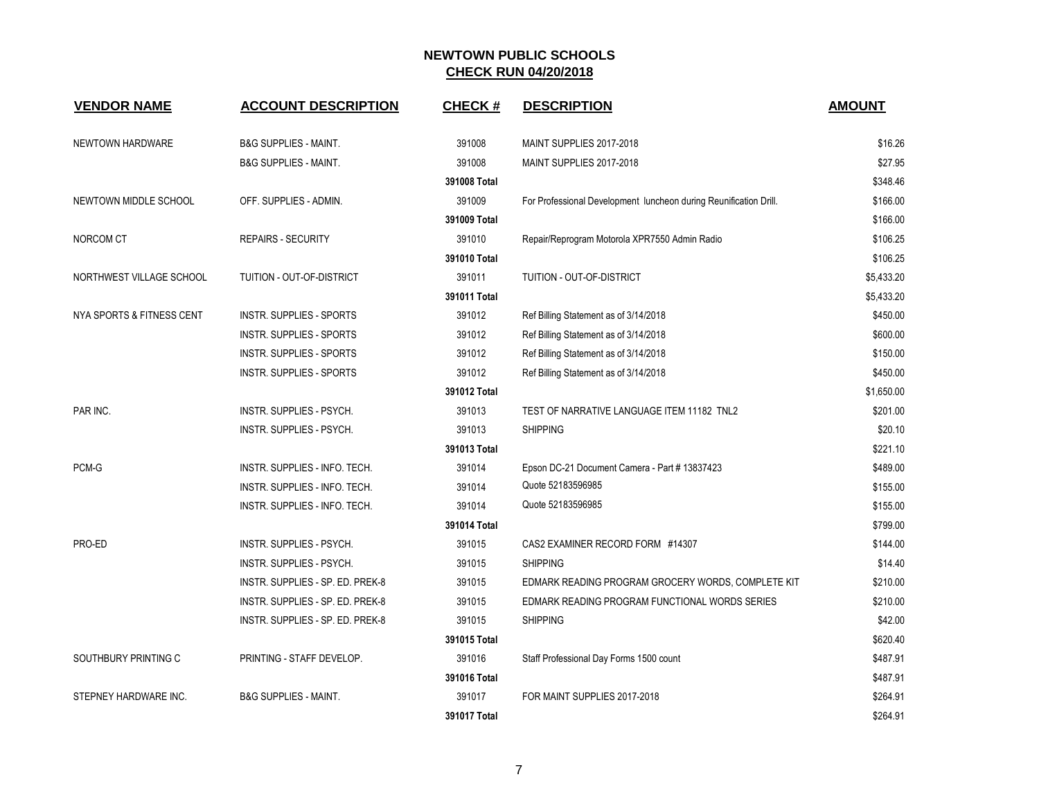| <b>VENDOR NAME</b>        | <b>ACCOUNT DESCRIPTION</b>       | <b>CHECK#</b> | <b>DESCRIPTION</b>                                                | <b>AMOUNT</b> |
|---------------------------|----------------------------------|---------------|-------------------------------------------------------------------|---------------|
| NEWTOWN HARDWARE          | <b>B&amp;G SUPPLIES - MAINT.</b> | 391008        | MAINT SUPPLIES 2017-2018                                          | \$16.26       |
|                           | <b>B&amp;G SUPPLIES - MAINT.</b> | 391008        | MAINT SUPPLIES 2017-2018                                          | \$27.95       |
|                           |                                  | 391008 Total  |                                                                   | \$348.46      |
| NEWTOWN MIDDLE SCHOOL     | OFF. SUPPLIES - ADMIN.           | 391009        | For Professional Development luncheon during Reunification Drill. | \$166.00      |
|                           |                                  | 391009 Total  |                                                                   | \$166.00      |
| NORCOM CT                 | <b>REPAIRS - SECURITY</b>        | 391010        | Repair/Reprogram Motorola XPR7550 Admin Radio                     | \$106.25      |
|                           |                                  | 391010 Total  |                                                                   | \$106.25      |
| NORTHWEST VILLAGE SCHOOL  | TUITION - OUT-OF-DISTRICT        | 391011        | TUITION - OUT-OF-DISTRICT                                         | \$5,433.20    |
|                           |                                  | 391011 Total  |                                                                   | \$5,433.20    |
| NYA SPORTS & FITNESS CENT | <b>INSTR. SUPPLIES - SPORTS</b>  | 391012        | Ref Billing Statement as of 3/14/2018                             | \$450.00      |
|                           | <b>INSTR. SUPPLIES - SPORTS</b>  | 391012        | Ref Billing Statement as of 3/14/2018                             | \$600.00      |
|                           | <b>INSTR. SUPPLIES - SPORTS</b>  | 391012        | Ref Billing Statement as of 3/14/2018                             | \$150.00      |
|                           | <b>INSTR. SUPPLIES - SPORTS</b>  | 391012        | Ref Billing Statement as of 3/14/2018                             | \$450.00      |
|                           |                                  | 391012 Total  |                                                                   | \$1,650.00    |
| PAR INC.                  | INSTR. SUPPLIES - PSYCH.         | 391013        | TEST OF NARRATIVE LANGUAGE ITEM 11182 TNL2                        | \$201.00      |
|                           | INSTR. SUPPLIES - PSYCH.         | 391013        | <b>SHIPPING</b>                                                   | \$20.10       |
|                           |                                  | 391013 Total  |                                                                   | \$221.10      |
| PCM-G                     | INSTR. SUPPLIES - INFO. TECH.    | 391014        | Epson DC-21 Document Camera - Part # 13837423                     | \$489.00      |
|                           | INSTR. SUPPLIES - INFO. TECH.    | 391014        | Quote 52183596985                                                 | \$155.00      |
|                           | INSTR. SUPPLIES - INFO. TECH.    | 391014        | Quote 52183596985                                                 | \$155.00      |
|                           |                                  | 391014 Total  |                                                                   | \$799.00      |
| PRO-ED                    | INSTR. SUPPLIES - PSYCH.         | 391015        | CAS2 EXAMINER RECORD FORM #14307                                  | \$144.00      |
|                           | INSTR. SUPPLIES - PSYCH.         | 391015        | <b>SHIPPING</b>                                                   | \$14.40       |
|                           | INSTR. SUPPLIES - SP. ED. PREK-8 | 391015        | EDMARK READING PROGRAM GROCERY WORDS, COMPLETE KIT                | \$210.00      |
|                           | INSTR. SUPPLIES - SP. ED. PREK-8 | 391015        | EDMARK READING PROGRAM FUNCTIONAL WORDS SERIES                    | \$210.00      |
|                           | INSTR. SUPPLIES - SP. ED. PREK-8 | 391015        | <b>SHIPPING</b>                                                   | \$42.00       |
|                           |                                  | 391015 Total  |                                                                   | \$620.40      |
| SOUTHBURY PRINTING C      | PRINTING - STAFF DEVELOP.        | 391016        | Staff Professional Day Forms 1500 count                           | \$487.91      |
|                           |                                  | 391016 Total  |                                                                   | \$487.91      |
| STEPNEY HARDWARE INC.     | <b>B&amp;G SUPPLIES - MAINT.</b> | 391017        | FOR MAINT SUPPLIES 2017-2018                                      | \$264.91      |
|                           |                                  | 391017 Total  |                                                                   | \$264.91      |